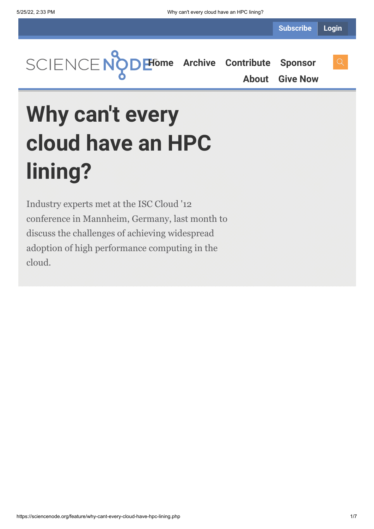**[Home](https://sciencenode.org/) [Archive](https://sciencenode.org/archive/index.php) [Contribute](https://sciencenode.org/contribute/index.php) [Sponsor](https://sciencenode.org/sponsor/index.php) [About](https://sciencenode.org/about/index.php) [Give Now](https://sciencenode.org/donate/index.php)**

# **Why can't every cloud have an HPC lining?**

Industry experts met at the ISC Cloud '12 conference in Mannheim, Germany, last month to discuss the challenges of achieving widespread adoption of high performance computing in the cloud.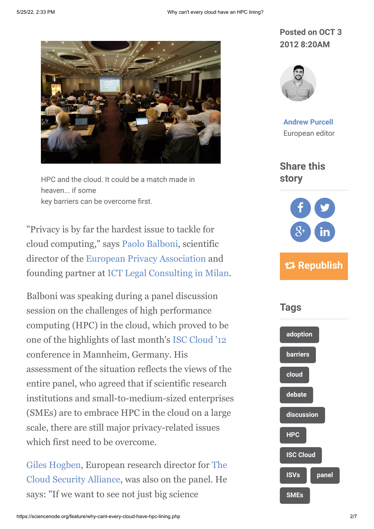

HPC and the cloud. It could be a match made in heaven... if some key barriers can be overcome first.

"Privacy is by far the hardest issue to tackle for cloud computing," says [Paolo Balboni](http://www.paolobalboni.eu/), scientific director of the [European Privacy Association](http://www.europeanprivacyassociation.eu/2009/default.asp) and founding partner at [ICT Legal Consulting in Milan](http://www.ictlegalconsulting.com/english/contacts.php).

Balboni was speaking during a panel discussion session on the challenges of high performance computing (HPC) in the cloud, which proved to be one of the highlights of last month's [ISC Cloud '12](http://www.isc-events.com/cloud12/) conference in Mannheim, Germany. His assessment of the situation reflects the views of the entire panel, who agreed that if scientific research institutions and small-to-medium-sized enterprises (SMEs) are to embrace HPC in the cloud on a large scale, there are still major privacy-related issues which first need to be overcome.

[Giles Hogben, European research director for The](https://cloudsecurityalliance.org/) Cloud Security Alliance, was also on the panel. He says: "If we want to see not just big science

### **Posted on OCT 3 2012 8:20AM**



**[Andrew Purcell](https://sciencenode.org/author/andrew-purcell.php)** European editor

**Share this story**



## **Republish**

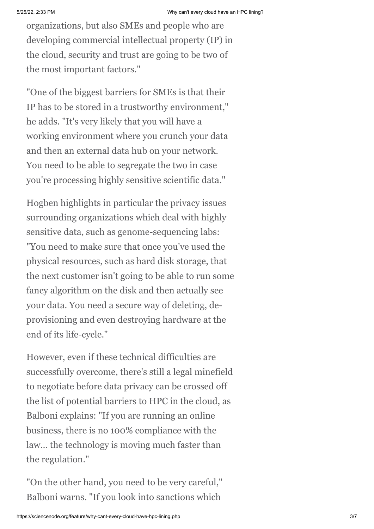organizations, but also SMEs and people who are developing commercial intellectual property (IP) in the cloud, security and trust are going to be two of the most important factors."

"One of the biggest barriers for SMEs is that their IP has to be stored in a trustworthy environment," he adds. "It's very likely that you will have a working environment where you crunch your data and then an external data hub on your network. You need to be able to segregate the two in case you're processing highly sensitive scientific data."

Hogben highlights in particular the privacy issues surrounding organizations which deal with highly sensitive data, such as genome-sequencing labs: "You need to make sure that once you've used the physical resources, such as hard disk storage, that the next customer isn't going to be able to run some fancy algorithm on the disk and then actually see your data. You need a secure way of deleting, deprovisioning and even destroying hardware at the end of its life-cycle."

However, even if these technical difficulties are successfully overcome, there's still a legal minefield to negotiate before data privacy can be crossed off the list of potential barriers to HPC in the cloud, as Balboni explains: "If you are running an online business, there is no 100% compliance with the law… the technology is moving much faster than the regulation."

"On the other hand, you need to be very careful," Balboni warns. "If you look into sanctions which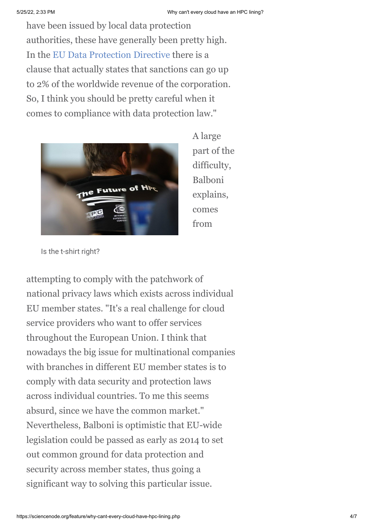have been issued by local data protection authorities, these have generally been pretty high. In the [EU Data Protection Directive](http://eur-lex.europa.eu/LexUriServ/LexUriServ.do?uri=CELEX:31995L0046:en:NOT) there is a clause that actually states that sanctions can go up to 2% of the worldwide revenue of the corporation. So, I think you should be pretty careful when it comes to compliance with data protection law."



A large part of the difficulty, Balboni explains, comes from

Is the t-shirt right?

attempting to comply with the patchwork of national privacy laws which exists across individual EU member states. "It's a real challenge for cloud service providers who want to offer services throughout the European Union. I think that nowadays the big issue for multinational companies with branches in different EU member states is to comply with data security and protection laws across individual countries. To me this seems absurd, since we have the common market." Nevertheless, Balboni is optimistic that EU-wide legislation could be passed as early as 2014 to set out common ground for data protection and security across member states, thus going a significant way to solving this particular issue.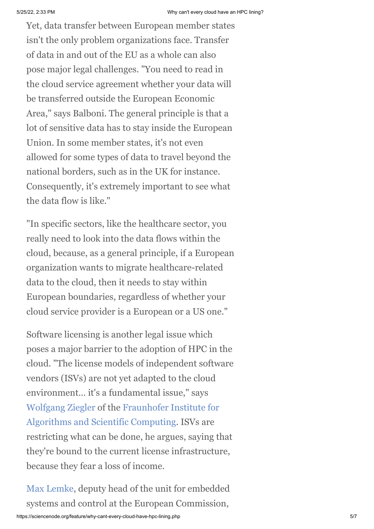Yet, data transfer between European member states isn't the only problem organizations face. Transfer of data in and out of the EU as a whole can also pose major legal challenges. "You need to read in the cloud service agreement whether your data will be transferred outside the European Economic Area," says Balboni. The general principle is that a lot of sensitive data has to stay inside the European Union. In some member states, it's not even allowed for some types of data to travel beyond the national borders, such as in the UK for instance. Consequently, it's extremely important to see what the data flow is like."

"In specific sectors, like the healthcare sector, you really need to look into the data flows within the cloud, because, as a general principle, if a European organization wants to migrate healthcare-related data to the cloud, then it needs to stay within European boundaries, regardless of whether your cloud service provider is a European or a US one."

Software licensing is another legal issue which poses a major barrier to the adoption of HPC in the cloud. "The license models of independent software vendors (ISVs) are not yet adapted to the cloud environment… it's a fundamental issue," says [Wolfgang Ziegler](http://www.scai.fraunhofer.de/ueber-uns/mitarbeiter/ziegler.html) [of the Fraunhofer Institute for](http://www.scai.fraunhofer.de/en.html) Algorithms and Scientific Computing. ISVs are restricting what can be done, he argues, saying that they're bound to the current license infrastructure, because they fear a loss of income.

[Max Lemke](http://www.isc-events.com/cloud12/Program/Max-Lemke), deputy head of the unit for embedded systems and control at the European Commission,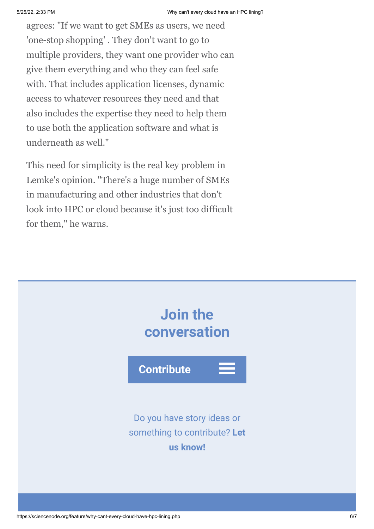agrees: "If we want to get SMEs as users, we need 'one-stop shopping' . They don't want to go to multiple providers, they want one provider who can give them everything and who they can feel safe with. That includes application licenses, dynamic access to whatever resources they need and that also includes the expertise they need to help them to use both the application software and what is underneath as well."

This need for simplicity is the real key problem in Lemke's opinion. "There's a huge number of SMEs in manufacturing and other industries that don't look into HPC or cloud because it's just too difficult for them," he warns.